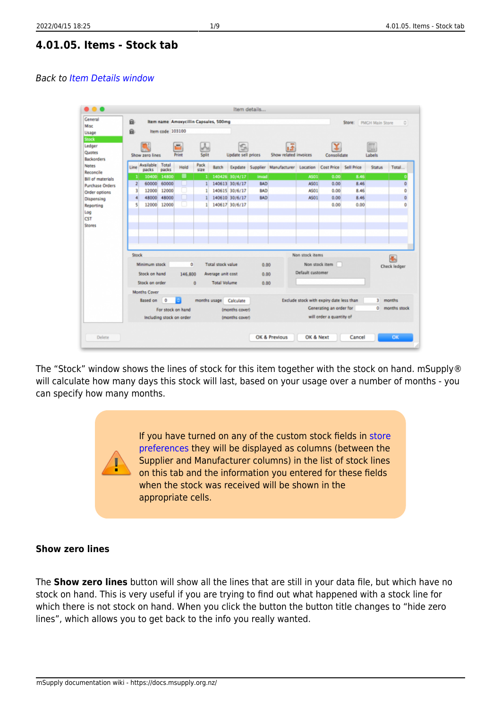## **4.01.05. Items - Stock tab**

#### Back to [Item Details window](https://docs.msupply.org.nz/items:item_basics#tabs_on_the_item_details_window)



The "Stock" window shows the lines of stock for this item together with the stock on hand. mSupply® will calculate how many days this stock will last, based on your usage over a number of months - you can specify how many months.

> If you have turned on any of the custom stock fields in [store](https://docs.msupply.org.nz/other_stuff:virtual_stores#the_preferences_tab) [preferences](https://docs.msupply.org.nz/other_stuff:virtual_stores#the_preferences_tab) they will be displayed as columns (between the Supplier and Manufacturer columns) in the list of stock lines on this tab and the information you entered for these fields when the stock was received will be shown in the appropriate cells.

### **Show zero lines**

<span id="page-0-0"></span>The **Show zero lines** button will show all the lines that are still in your data file, but which have no stock on hand. This is very useful if you are trying to find out what happened with a stock line for which there is not stock on hand. When you click the button the button title changes to "hide zero lines", which allows you to get back to the info you really wanted.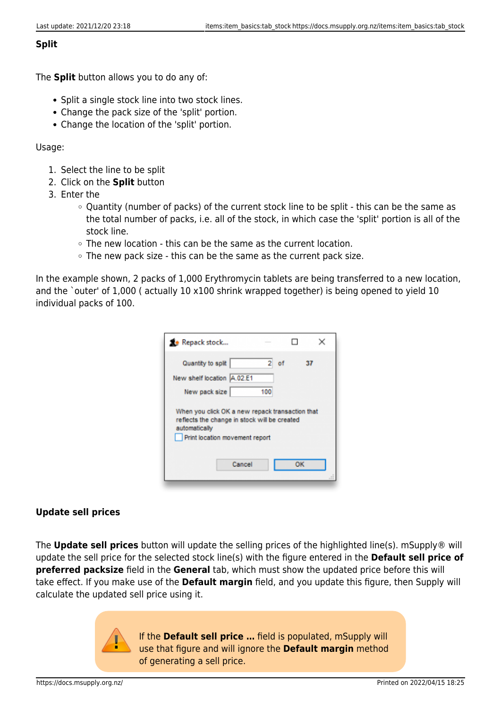### **Split**

The **Split** button allows you to do any of:

- Split a single stock line into two stock lines.
- Change the pack size of the 'split' portion.
- Change the location of the 'split' portion.

Usage:

- 1. Select the line to be split
- 2. Click on the **Split** button
- 3. Enter the
	- Quantity (number of packs) of the current stock line to be split this can be the same as the total number of packs, i.e. all of the stock, in which case the 'split' portion is all of the stock line.
	- The new location this can be the same as the current location.
	- $\circ$  The new pack size this can be the same as the current pack size.

In the example shown, 2 packs of 1,000 Erythromycin tablets are being transferred to a new location, and the `outer' of 1,000 (actually 10 x100 shrink wrapped together) is being opened to yield 10 individual packs of 100.

| Repack stock                                                                                                                                                        |          |    |    |
|---------------------------------------------------------------------------------------------------------------------------------------------------------------------|----------|----|----|
| Quantity to split<br>New shelf location A.02.E1                                                                                                                     | 2<br>100 | of | 37 |
| New pack size<br>When you click OK a new repack transaction that<br>reflects the change in stock will be created<br>automatically<br>Print location movement report |          |    |    |
| Cancel                                                                                                                                                              |          |    | ок |

## **Update sell prices**

The **Update sell prices** button will update the selling prices of the highlighted line(s). mSupply® will update the sell price for the selected stock line(s) with the figure entered in the **Default sell price of preferred packsize** field in the **General** tab, which must show the updated price before this will take effect. If you make use of the **Default margin** field, and you update this figure, then Supply will calculate the updated sell price using it.

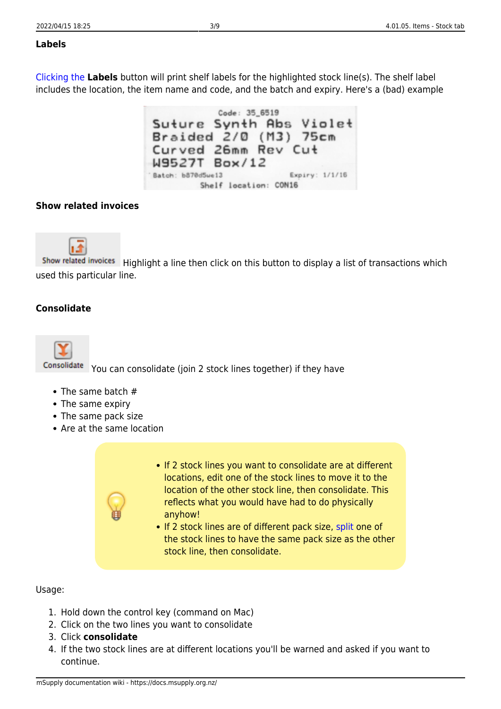#### **Labels**

[Clicking the](https://docs.msupply.org.nz/_detail/items:label_example.png?id=items%3Aitem_basics%3Atab_stock) **Labels** button will print shelf labels for the highlighted stock line(s). The shelf label includes the location, the item name and code, and the batch and expiry. Here's a (bad) example

Code: 35\_6519 Suture Synth Abs Violet Braided 2/0 (M3) 75cm Curved 26mm Rev Cut W9527T Box/12 Batch: b870d5we13 Expiry: 1/1/16 Shelf location: CON16

## **Show related invoices**



Show related invoices Highlight a line then click on this button to display a list of transactions which used this particular line.

## **Consolidate**



You can consolidate (join 2 stock lines together) if they have

- The same batch #
- The same expiry
- The same pack size
- Are at the same location



• If 2 stock lines are of different pack size, [split](#page-0-0) one of the stock lines to have the same pack size as the other stock line, then consolidate.

Usage:

- 1. Hold down the control key (command on Mac)
- 2. Click on the two lines you want to consolidate
- 3. Click **consolidate**
- 4. If the two stock lines are at different locations you'll be warned and asked if you want to continue.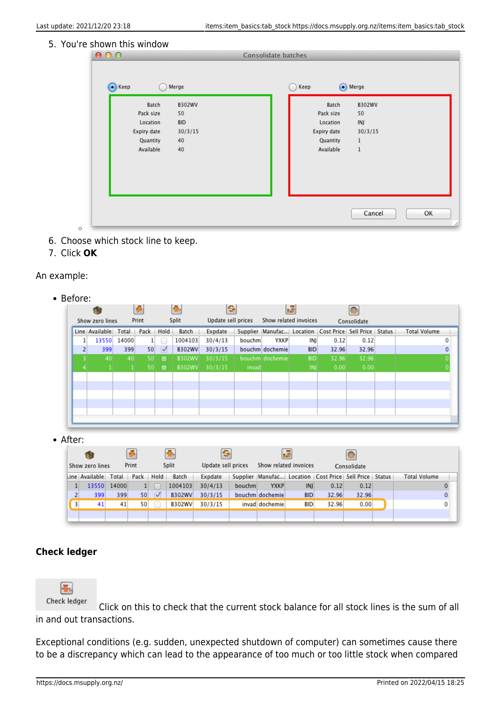#### 5. You're shown this window

| Batch       | B302WV     | Batch       | B302WV  |
|-------------|------------|-------------|---------|
| Pack size   | 50         | Pack size   | 50      |
| Location    | <b>BID</b> | Location    | INJ     |
| Expiry date | 30/3/15    | Expiry date | 30/3/15 |
| Quantity    | 40         | Quantity    | $\,1$   |
| Available   | 40         | Available   | $\,1$   |
|             |            |             |         |
|             |            |             |         |
|             |            |             |         |

- 6. Choose which stock line to keep.
- 7. Click **OK**

 $\circ$ 

### An example:

| Before: |
|---------|
|---------|

| Show zero lines |       | Print |            | Split         | Update sell prices |        | Show related invoices |            |                                                        | Consolidate |                     |
|-----------------|-------|-------|------------|---------------|--------------------|--------|-----------------------|------------|--------------------------------------------------------|-------------|---------------------|
| Line Available  | Total | Pack  | Hold       | Batch         | Expdate            |        |                       |            | Supplier Manufac Location Cost Price Sell Price Status |             | <b>Total Volume</b> |
| 13550           | 14000 |       |            | 1004103       | 30/4/13            | bouchm | <b>YXKP</b>           | INI        | 0.12                                                   | 0.12        | 0                   |
| 399             | 399   | 50    | $\sqrt{2}$ | <b>B302WV</b> | 30/3/15            |        | bouchm dochemie       | <b>BID</b> | 32.96                                                  | 32.96       | $\Omega$            |
| 40              | 40    | 50    | ▬          | <b>B302WV</b> | 30/3/15            |        | bouchm dochemie       | <b>BID</b> | 32.96                                                  | 32.96       |                     |
|                 |       | 50    | Ð          | <b>B302WV</b> | 30/3/15            | invad  |                       | INI        | 0.00                                                   | 0.00        |                     |
|                 |       |       |            |               |                    |        |                       |            |                                                        |             |                     |
|                 |       |       |            |               |                    |        |                       |            |                                                        |             |                     |
|                 |       |       |            |               |                    |        |                       |            |                                                        |             |                     |
|                 |       |       |            |               |                    |        |                       |            |                                                        |             |                     |
|                 |       |       |            |               |                    |        |                       |            |                                                        |             |                     |

• After:

|                |                      |       |       |                 |               |                    |        |                       | <b>THE</b> |                                                        |             |                     |              |
|----------------|----------------------|-------|-------|-----------------|---------------|--------------------|--------|-----------------------|------------|--------------------------------------------------------|-------------|---------------------|--------------|
|                | Show zero lines      |       | Print |                 | Split         | Update sell prices |        | Show related invoices |            |                                                        | Consolidate |                     |              |
|                | Line Available Total |       | Pack  | Hold            | Batch         | Expdate            |        |                       |            | Supplier Manufac Location Cost Price Sell Price Status |             | <b>Total Volume</b> |              |
|                | 13550                | 14000 |       |                 | 1004103       | 30/4/13            | bouchm | <b>YXKP</b>           | INJ        | 0.12                                                   | 0.12        |                     |              |
| $\overline{2}$ | 399                  | 399   | 50    | $\triangledown$ | <b>B302WV</b> | 30/3/15            |        | bouchm dochemie       | <b>BID</b> | 32.96                                                  | 32.96       |                     | $\mathbf{0}$ |
| 3              | 41                   | 41    | 50    |                 | B302WV        | 30/3/15            |        | invad dochemie        | <b>BID</b> | 32.96                                                  | 0.00        |                     | 0            |
|                |                      |       |       |                 |               |                    |        |                       |            |                                                        |             |                     |              |

## **Check ledger**



Click on this to check that the current stock balance for all stock lines is the sum of all in and out transactions.

Exceptional conditions (e.g. sudden, unexpected shutdown of computer) can sometimes cause there to be a discrepancy which can lead to the appearance of too much or too little stock when compared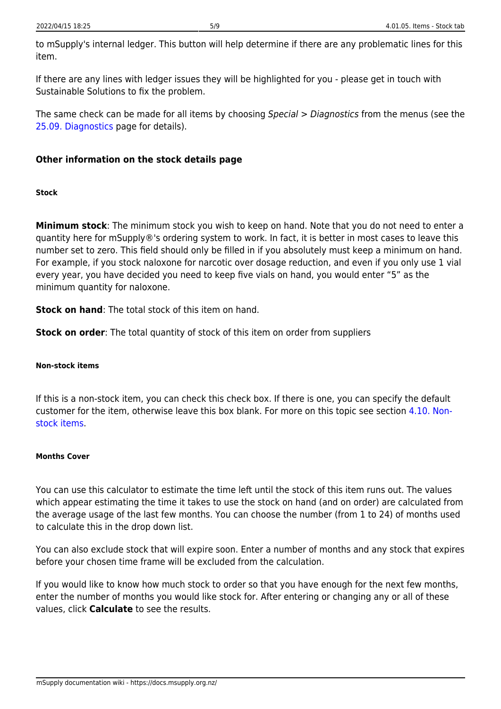to mSupply's internal ledger. This button will help determine if there are any problematic lines for this item.

If there are any lines with ledger issues they will be highlighted for you - please get in touch with Sustainable Solutions to fix the problem.

The same check can be made for all items by choosing Special > Diagnostics from the menus (see the [25.09. Diagnostics](https://docs.msupply.org.nz/admin:diagnostics) page for details).

# **Other information on the stock details page**

#### **Stock**

**Minimum stock**: The minimum stock you wish to keep on hand. Note that you do not need to enter a quantity here for mSupply®'s ordering system to work. In fact, it is better in most cases to leave this number set to zero. This field should only be filled in if you absolutely must keep a minimum on hand. For example, if you stock naloxone for narcotic over dosage reduction, and even if you only use 1 vial every year, you have decided you need to keep five vials on hand, you would enter "5" as the minimum quantity for naloxone.

**Stock on hand**: The total stock of this item on hand.

**Stock on order**: The total quantity of stock of this item on order from suppliers

#### **Non-stock items**

If this is a non-stock item, you can check this check box. If there is one, you can specify the default customer for the item, otherwise leave this box blank. For more on this topic see section [4.10. Non](https://docs.msupply.org.nz/items:non_stock_items)[stock items](https://docs.msupply.org.nz/items:non_stock_items).

#### **Months Cover**

You can use this calculator to estimate the time left until the stock of this item runs out. The values which appear estimating the time it takes to use the stock on hand (and on order) are calculated from the average usage of the last few months. You can choose the number (from 1 to 24) of months used to calculate this in the drop down list.

You can also exclude stock that will expire soon. Enter a number of months and any stock that expires before your chosen time frame will be excluded from the calculation.

If you would like to know how much stock to order so that you have enough for the next few months, enter the number of months you would like stock for. After entering or changing any or all of these values, click **Calculate** to see the results.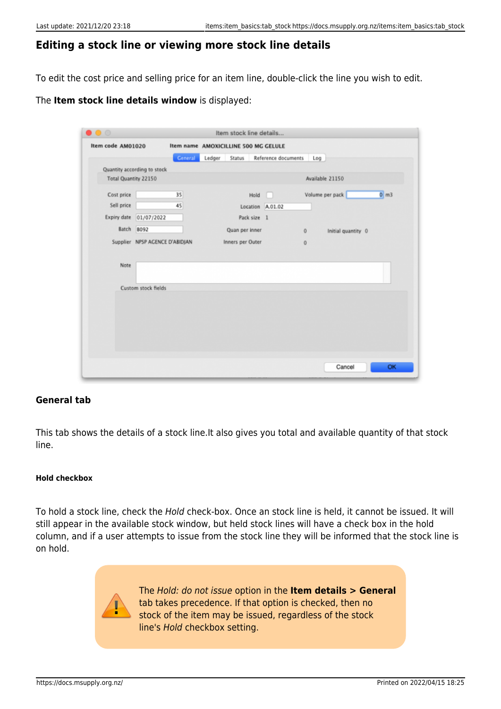## **Editing a stock line or viewing more stock line details**

To edit the cost price and selling price for an item line, double-click the line you wish to edit.

### The **Item stock line details window** is displayed:

|                      | Item code AM01020              |         |        | Item name AMOXICILLINE 500 MG GELULE |                     |                                      |
|----------------------|--------------------------------|---------|--------|--------------------------------------|---------------------|--------------------------------------|
|                      |                                | General | Ledger | Status                               | Reference documents | Log                                  |
|                      | Quantity according to stock    |         |        |                                      |                     |                                      |
| Total Quantity 22150 |                                |         |        |                                      |                     | Available 21150                      |
| Cost price           |                                | 35      |        | Hold                                 |                     | $0 \, \text{m}$ 3<br>Volume per pack |
| Sell price           |                                | 45      |        | Location A.01.02                     |                     |                                      |
| Expiry date          | 01/07/2022                     |         |        | Pack size 1                          |                     |                                      |
| Batch                | <b>B092</b>                    |         |        | Quan per inner                       |                     | Initial quantity 0<br>0              |
|                      | Supplier NPSP AGENCE D'ABIDJAN |         |        | Inners per Outer                     |                     | $\bf{0}$                             |
|                      |                                |         |        |                                      |                     |                                      |
| Note                 |                                |         |        |                                      |                     |                                      |
|                      | Custom stock fields            |         |        |                                      |                     |                                      |
|                      |                                |         |        |                                      |                     |                                      |
|                      |                                |         |        |                                      |                     |                                      |
|                      |                                |         |        |                                      |                     |                                      |
|                      |                                |         |        |                                      |                     |                                      |
|                      |                                |         |        |                                      |                     |                                      |

#### **General tab**

This tab shows the details of a stock line.It also gives you total and available quantity of that stock line.

#### **Hold checkbox**

To hold a stock line, check the Hold check-box. Once an stock line is held, it cannot be issued. It will still appear in the available stock window, but held stock lines will have a check box in the hold column, and if a user attempts to issue from the stock line they will be informed that the stock line is on hold.



The Hold: do not issue option in the **Item details > General** tab takes precedence. If that option is checked, then no stock of the item may be issued, regardless of the stock line's Hold checkbox setting.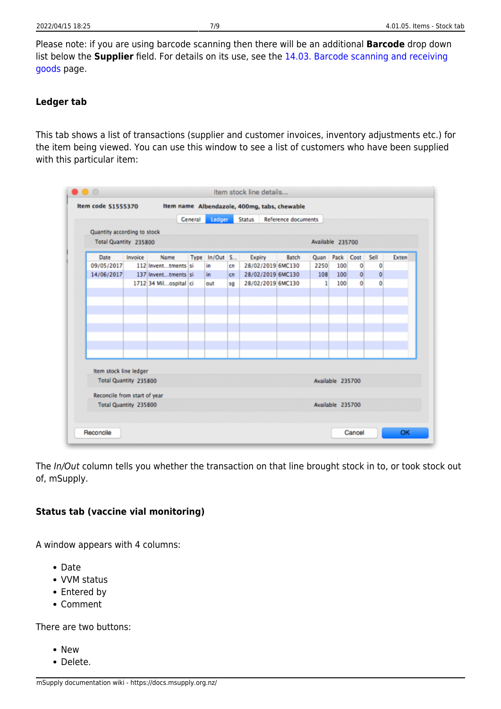Please note: if you are using barcode scanning then there will be an additional **Barcode** drop down list below the **Supplier** field. For details on its use, see the [14.03. Barcode scanning and receiving](https://docs.msupply.org.nz/barcode_scanning:receiving_goods#manually_assigning_barcodes_to_stock_lines) [goods](https://docs.msupply.org.nz/barcode_scanning:receiving_goods#manually_assigning_barcodes_to_stock_lines) page.

# **Ledger tab**

This tab shows a list of transactions (supplier and customer invoices, inventory adjustments etc.) for the item being viewed. You can use this window to see a list of customers who have been supplied with this particular item:

|                              |         |                       | <b>General</b> | Ledger        |    | <b>Status</b>     | <b>Reference documents</b> |                  |                  |          |      |       |
|------------------------------|---------|-----------------------|----------------|---------------|----|-------------------|----------------------------|------------------|------------------|----------|------|-------|
| Quantity according to stock  |         |                       |                |               |    |                   |                            |                  |                  |          |      |       |
| Total Quantity 235800        |         |                       |                |               |    |                   |                            | Available 235700 |                  |          |      |       |
| Date                         | Invoice | Name                  |                | Type In/Out S |    | <b>Expiry</b>     | Batch                      | Quan Pack        |                  | Cost     | Sell | Exten |
| 09/05/2017                   |         | 112 Inventtments si   |                | in            | cn | 28/02/2019 6MC130 |                            | 2250             | 100              | 0        | 0    |       |
| 14/06/2017                   |         | 137 Inventtments si   |                | in.           | cn | 28/02/2019 6MC130 |                            | 108              | 100              | $\bf{0}$ | 0    |       |
|                              |         | 1712 34 Milospital ci |                | out           | sa | 28/02/2019 6MC130 |                            | 1                | 100              | 0        | 0    |       |
|                              |         |                       |                |               |    |                   |                            |                  |                  |          |      |       |
|                              |         |                       |                |               |    |                   |                            |                  |                  |          |      |       |
|                              |         |                       |                |               |    |                   |                            |                  |                  |          |      |       |
|                              |         |                       |                |               |    |                   |                            |                  |                  |          |      |       |
|                              |         |                       |                |               |    |                   |                            |                  |                  |          |      |       |
|                              |         |                       |                |               |    |                   |                            |                  |                  |          |      |       |
|                              |         |                       |                |               |    |                   |                            |                  |                  |          |      |       |
|                              |         |                       |                |               |    |                   |                            |                  |                  |          |      |       |
| Item stock line ledger       |         |                       |                |               |    |                   |                            |                  |                  |          |      |       |
| Total Quantity 235800        |         |                       |                |               |    |                   |                            |                  | Available 235700 |          |      |       |
| Reconcile from start of year |         |                       |                |               |    |                   |                            |                  |                  |          |      |       |
| Total Quantity 235800        |         |                       |                |               |    |                   |                            |                  | Available 235700 |          |      |       |
|                              |         |                       |                |               |    |                   |                            |                  |                  |          |      |       |

The In/Out column tells you whether the transaction on that line brought stock in to, or took stock out of, mSupply.

# **Status tab (vaccine vial monitoring)**

A window appears with 4 columns:

- Date
- VVM status
- Entered by
- Comment

There are two buttons:

- New
- Delete.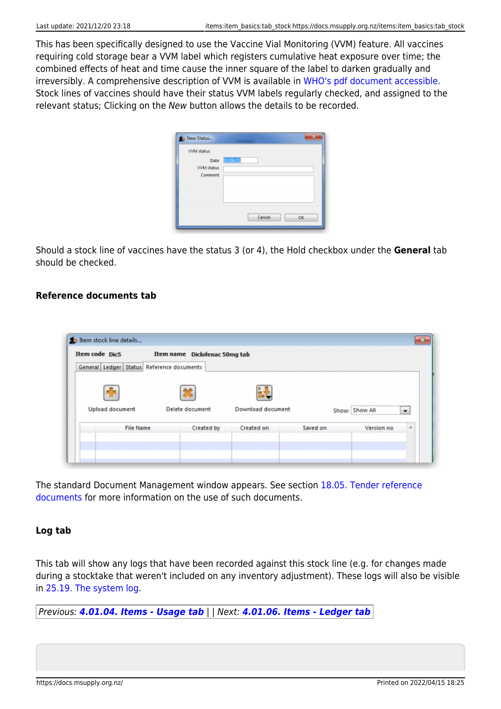This has been specifically designed to use the Vaccine Vial Monitoring (VVM) feature. All vaccines requiring cold storage bear a VVM label which registers cumulative heat exposure over time; the combined effects of heat and time cause the inner square of the label to darken gradually and irreversibly. A comprehensive description of VVM is available in [WHO's pdf document accessible](http://tinyurl.com/n2mge23). Stock lines of vaccines should have their status VVM labels regularly checked, and assigned to the relevant status; Clicking on the New button allows the details to be recorded.

| <b>VVM status</b> |          |
|-------------------|----------|
| Date              | 21.06/11 |
| VVM status        |          |
| Comment           |          |
|                   |          |
|                   |          |
|                   |          |
|                   | Cancel   |

Should a stock line of vaccines have the status 3 (or 4), the Hold checkbox under the **General** tab should be checked.

### **Reference documents tab**



The standard Document Management window appears. See section [18.05. Tender reference](https://docs.msupply.org.nz/tender_management:reference_documents) [documents](https://docs.msupply.org.nz/tender_management:reference_documents) for more information on the use of such documents.

#### **Log tab**

This tab will show any logs that have been recorded against this stock line (e.g. for changes made during a stocktake that weren't included on any inventory adjustment). These logs will also be visible in [25.19. The system log.](https://docs.msupply.org.nz/admin:the_log)

Previous: *[4.01.04. Items - Usage tab](https://docs.msupply.org.nz/items:item_basics:tab_usage)* | | Next: *[4.01.06. Items - Ledger tab](https://docs.msupply.org.nz/items:item_basics:tab_ledger)*